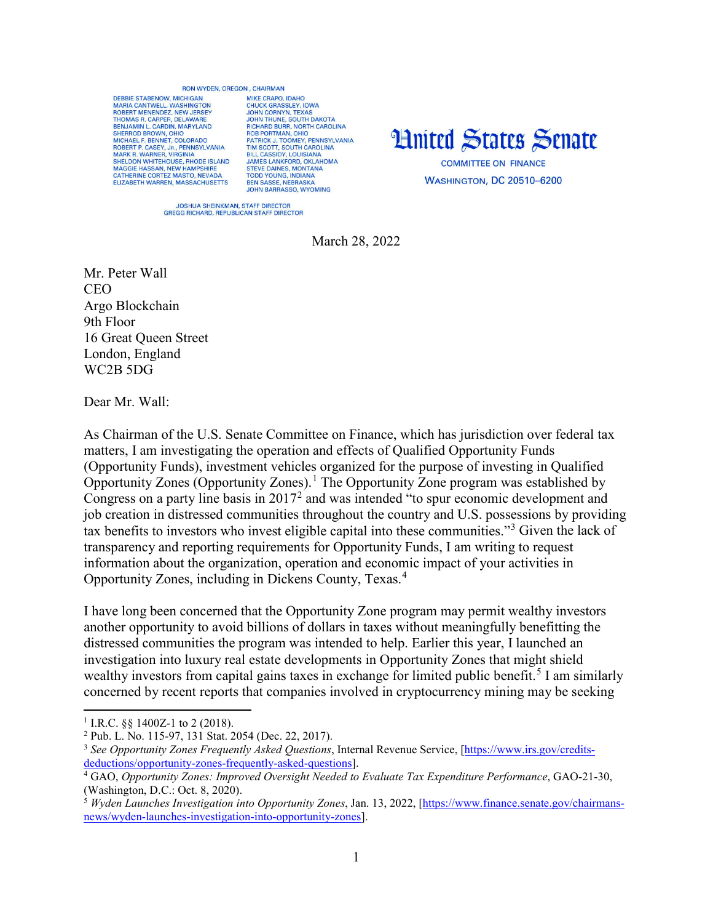## **RON WYDEN OREGON CHAIRMAN**

DEBBIE STARENOW MICHIGAN MARIA CANTWELL, WASHINGTON<br>ROBERT MENENDEZ, NEW JERSEY THOMAS R. CARPER, DELAWARE BENJAMIN L. CARDIN, MARYLAND<br>SHERROD BROWN, OHIO SHENDU BROWN, OHO<br>
MCHAEL F. BENNET, COLORADO<br>
ROBERT P. CASEY, JR., PENNSYLVANIA<br>
MARK R. WARNER, VIRGINIA<br>
SHELDON WHITEHOUSE, RHODE ISLAND MAGGIE HASSAN, NEW HAMPSHIRE<br>CATHERINE CORTEZ MASTO, NEVADA<br>ELIZABETH WARREN, MASSACHUSETTS

MIKE CRAPO IDAHO MIKE CRAPO, IDAHO<br>JOHN CORASSLEY, IOWA<br>JOHN CORNYN, TEXAS<br>JOHN THUNE, SOUTH DAKOTA<br>RICHARD BURR, NORTH CAROLINA<br>ROB PORTMAN, OHIO ROB PORTIMAN, OHIO<br>PATRICK J. TOOMEY, PENNSYLVANIA<br>TIM SCOTT, SOUTH CAROLINA<br>BILL CASSIDY, LOUISIANA<br>JAMES LANKFORD, OKLAHOMA STRIKE DAINES, MONTANA<br>TODD YOUNG, INDIANA<br>BEN SASSE, NEBRASKA **JOHN BARRASSO, WYOMING** 



**WASHINGTON, DC 20510-6200** 

JOSHUA SHEINKMAN, STAFF DIRECTOR<br>GREGG RICHARD, REPUBLICAN STAFF DIRECTOR

March 28, 2022

Mr. Peter Wall **CEO** Argo Blockchain 9th Floor 16 Great Queen Street London, England WC2B 5DG

Dear Mr. Wall:

As Chairman of the U.S. Senate Committee on Finance, which has jurisdiction over federal tax matters, I am investigating the operation and effects of Qualified Opportunity Funds (Opportunity Funds), investment vehicles organized for the purpose of investing in Qualified Opportunity Zones (Opportunity Zones).<sup>[1](#page-0-0)</sup> The Opportunity Zone program was established by Congress on a party line basis in  $2017<sup>2</sup>$  $2017<sup>2</sup>$  and was intended "to spur economic development and job creation in distressed communities throughout the country and U.S. possessions by providing tax benefits to investors who invest eligible capital into these communities."<sup>[3](#page-0-2)</sup> Given the lack of transparency and reporting requirements for Opportunity Funds, I am writing to request information about the organization, operation and economic impact of your activities in Opportunity Zones, including in Dickens County, Texas.[4](#page-0-3)

I have long been concerned that the Opportunity Zone program may permit wealthy investors another opportunity to avoid billions of dollars in taxes without meaningfully benefitting the distressed communities the program was intended to help. Earlier this year, I launched an investigation into luxury real estate developments in Opportunity Zones that might shield wealthy investors from capital gains taxes in exchange for limited public benefit.<sup>[5](#page-0-4)</sup> I am similarly concerned by recent reports that companies involved in cryptocurrency mining may be seeking

 $\overline{a}$ 

<span id="page-0-0"></span><sup>&</sup>lt;sup>1</sup> I.R.C. §§ 1400Z-1 to 2 (2018).

<span id="page-0-1"></span><sup>2</sup> Pub. L. No. 115-97, 131 Stat. 2054 (Dec. 22, 2017).

<span id="page-0-2"></span><sup>3</sup> *See Opportunity Zones Frequently Asked Questions*, Internal Revenue Service, [\[https://www.irs.gov/credits](https://www.irs.gov/credits-deductions/opportunity-zones-frequently-asked-questions)[deductions/opportunity-zones-frequently-asked-questions\]](https://www.irs.gov/credits-deductions/opportunity-zones-frequently-asked-questions).

<span id="page-0-3"></span><sup>4</sup> GAO, *Opportunity Zones: Improved Oversight Needed to Evaluate Tax Expenditure Performance*, GAO-21-30, (Washington, D.C.: Oct. 8, 2020).<br><sup>5</sup> *Wyden Launches Investigation into Opportunity Zones*, Jan. 13, 2022, [\[https://www.finance.senate.gov/chairmans-](https://www.finance.senate.gov/chairmans-news/wyden-launches-investigation-into-opportunity-zones)

<span id="page-0-4"></span>[news/wyden-launches-investigation-into-opportunity-zones\]](https://www.finance.senate.gov/chairmans-news/wyden-launches-investigation-into-opportunity-zones).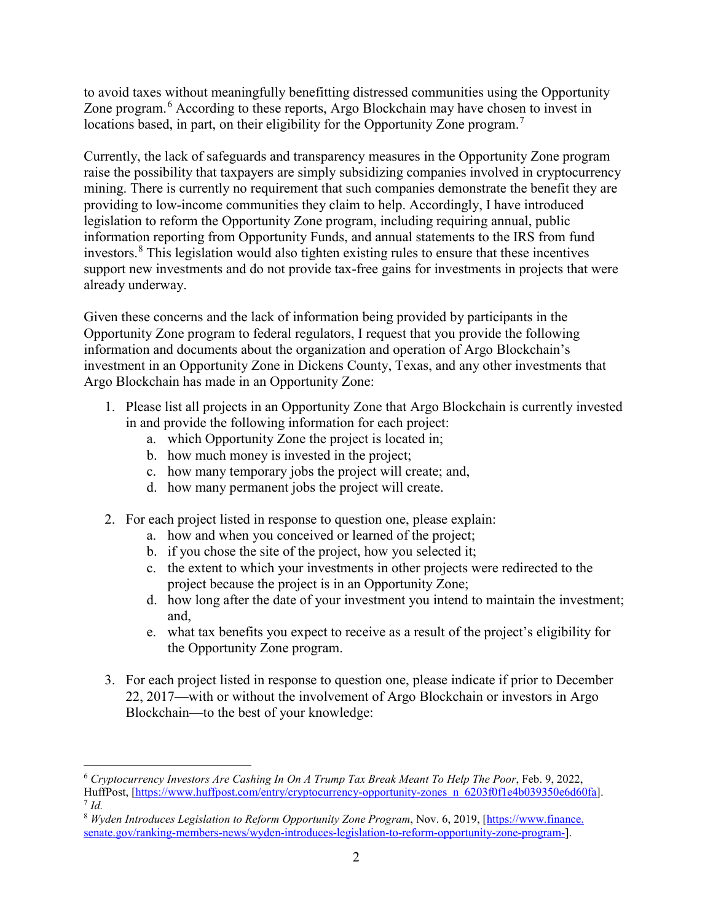to avoid taxes without meaningfully benefitting distressed communities using the Opportunity Zone program.<sup>[6](#page-1-0)</sup> According to these reports, Argo Blockchain may have chosen to invest in locations based, in part, on their eligibility for the Opportunity Zone program.<sup>[7](#page-1-1)</sup>

Currently, the lack of safeguards and transparency measures in the Opportunity Zone program raise the possibility that taxpayers are simply subsidizing companies involved in cryptocurrency mining. There is currently no requirement that such companies demonstrate the benefit they are providing to low-income communities they claim to help. Accordingly, I have introduced legislation to reform the Opportunity Zone program, including requiring annual, public information reporting from Opportunity Funds, and annual statements to the IRS from fund investors.<sup>[8](#page-1-2)</sup> This legislation would also tighten existing rules to ensure that these incentives support new investments and do not provide tax-free gains for investments in projects that were already underway.

Given these concerns and the lack of information being provided by participants in the Opportunity Zone program to federal regulators, I request that you provide the following information and documents about the organization and operation of Argo Blockchain's investment in an Opportunity Zone in Dickens County, Texas, and any other investments that Argo Blockchain has made in an Opportunity Zone:

- 1. Please list all projects in an Opportunity Zone that Argo Blockchain is currently invested in and provide the following information for each project:
	- a. which Opportunity Zone the project is located in;
	- b. how much money is invested in the project;

 $\overline{\phantom{a}}$ 

- c. how many temporary jobs the project will create; and,
- d. how many permanent jobs the project will create.
- 2. For each project listed in response to question one, please explain:
	- a. how and when you conceived or learned of the project;
	- b. if you chose the site of the project, how you selected it;
	- c. the extent to which your investments in other projects were redirected to the project because the project is in an Opportunity Zone;
	- d. how long after the date of your investment you intend to maintain the investment; and,
	- e. what tax benefits you expect to receive as a result of the project's eligibility for the Opportunity Zone program.
- 3. For each project listed in response to question one, please indicate if prior to December 22, 2017—with or without the involvement of Argo Blockchain or investors in Argo Blockchain—to the best of your knowledge:

<span id="page-1-0"></span><sup>6</sup> *Cryptocurrency Investors Are Cashing In On A Trump Tax Break Meant To Help The Poor*, Feb. 9, 2022, HuffPost, [\[https://www.huffpost.com/entry/cryptocurrency-opportunity-zones\\_n\\_6203f0f1e4b039350e6d60fa\]](https://www.huffpost.com/entry/cryptocurrency-opportunity-zones_n_6203f0f1e4b039350e6d60fa). <sup>7</sup> *Id.*

<span id="page-1-2"></span><span id="page-1-1"></span><sup>8</sup> *Wyden Introduces Legislation to Reform Opportunity Zone Program*, Nov. 6, 2019, [https://www.finance. senate.gov/ranking-members-news/wyden-introduces-legislation-to-reform-opportunity-zone-program-].